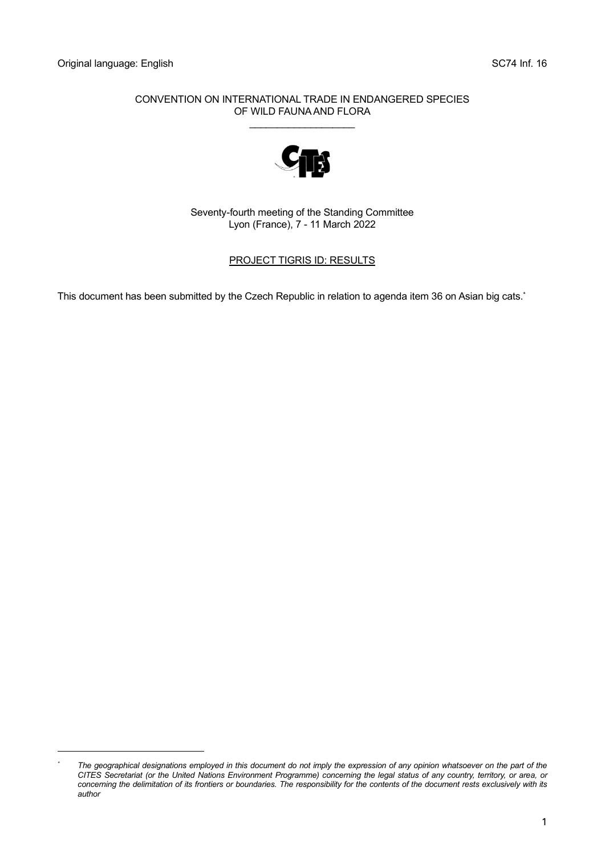#### CONVENTION ON INTERNATIONAL TRADE IN ENDANGERED SPECIES OF WILD FAUNA AND FLORA

\_\_\_\_\_\_\_\_\_\_\_\_\_\_\_\_\_\_\_



Seventy-fourth meeting of the Standing Committee Lyon (France), 7 - 11 March 2022

#### PROJECT TIGRIS ID: RESULTS

This document has been submitted by the Czech Republic in relation to agenda item 36 on Asian big cats. \*

*<sup>\*</sup> The geographical designations employed in this document do not imply the expression of any opinion whatsoever on the part of the CITES Secretariat (or the United Nations Environment Programme) concerning the legal status of any country, territory, or area, or concerning the delimitation of its frontiers or boundaries. The responsibility for the contents of the document rests exclusively with its author*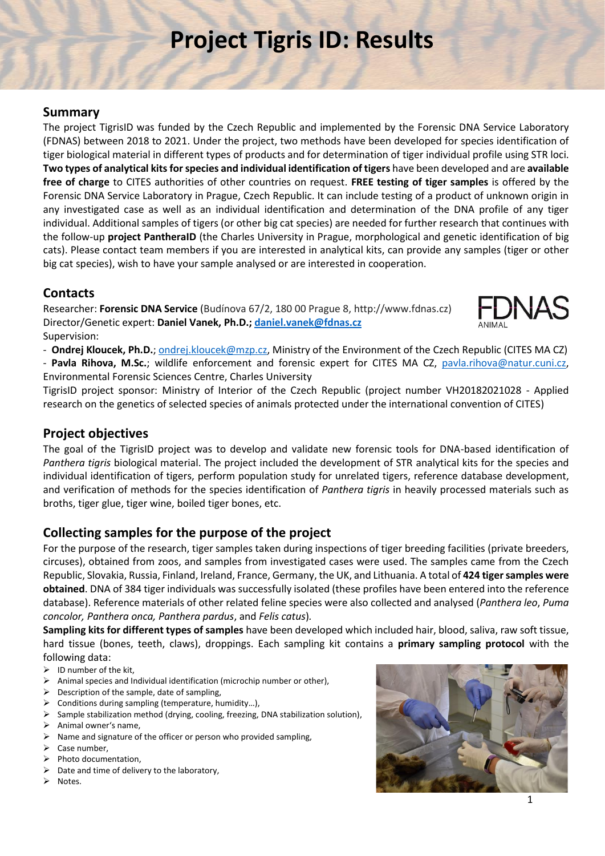# **Project Tigris ID: Results**

## **Summary**

The project TigrisID was funded by the Czech Republic and implemented by the Forensic DNA Service Laboratory (FDNAS) between 2018 to 2021. Under the project, two methods have been developed for species identification of tiger biological material in different types of products and for determination of tiger individual profile using STR loci. **Two types of analytical kits for species and individual identification of tigers** have been developed and are **available free of charge** to CITES authorities of other countries on request. **FREE testing of tiger samples** is offered by the Forensic DNA Service Laboratory in Prague, Czech Republic. It can include testing of a product of unknown origin in any investigated case as well as an individual identification and determination of the DNA profile of any tiger individual. Additional samples of tigers (or other big cat species) are needed for further research that continues with the follow-up **project PantheraID** (the Charles University in Prague, morphological and genetic identification of big cats). Please contact team members if you are interested in analytical kits, can provide any samples (tiger or other big cat species), wish to have your sample analysed or are interested in cooperation.

# **Contacts**

Researcher: **Forensic DNA Service** (Budínova 67/2, 180 00 Prague 8, http://www.fdnas.cz) Director/Genetic expert: **Daniel Vanek, Ph.D.; [daniel.vanek@fdnas.cz](mailto:daniel.vanek@fdnas.cz)** Supervision:



- **Ondrej Kloucek, Ph.D.**; [ondrej.kloucek@mzp.cz,](mailto:ondrej.kloucek@mzp.cz) Ministry of the Environment of the Czech Republic (CITES MA CZ)

- **Pavla Rihova, M.Sc.**; wildlife enforcement and forensic expert for CITES MA CZ, [pavla.rihova@natur.cuni.cz,](mailto:pavla.rihova@natur.cuni.cz) Environmental Forensic Sciences Centre, Charles University

TigrisID project sponsor: Ministry of Interior of the Czech Republic (project number VH20182021028 - Applied research on the genetics of selected species of animals protected under the international convention of CITES)

# **Project objectives**

The goal of the TigrisID project was to develop and validate new forensic tools for DNA-based identification of *Panthera tigris* biological material. The project included the development of STR analytical kits for the species and individual identification of tigers, perform population study for unrelated tigers, reference database development, and verification of methods for the species identification of *Panthera tigris* in heavily processed materials such as broths, tiger glue, tiger wine, boiled tiger bones, etc.

# **Collecting samples for the purpose of the project**

For the purpose of the research, tiger samples taken during inspections of tiger breeding facilities (private breeders, circuses), obtained from zoos, and samples from investigated cases were used. The samples came from the Czech Republic, Slovakia, Russia, Finland, Ireland, France, Germany, the UK, and Lithuania. A total of **424 tiger samples were obtained**. DNA of 384 tiger individuals was successfully isolated (these profiles have been entered into the reference database). Reference materials of other related feline species were also collected and analysed (*Panthera leo*, *Puma concolor, Panthera onca, Panthera pardus*, and *Felis catus*)*.*

**Sampling kits for different types of samples** have been developed which included hair, blood, saliva, raw soft tissue, hard tissue (bones, teeth, claws), droppings. Each sampling kit contains a **primary sampling protocol** with the following data:

- $\triangleright$  ID number of the kit,
- ➢ Animal species and Individual identification (microchip number or other),
- $\triangleright$  Description of the sample, date of sampling,
- ➢ Conditions during sampling (temperature, humidity…),
- ➢ Sample stabilization method (drying, cooling, freezing, DNA stabilization solution),
- ➢ Animal owner's name,
- ➢ Name and signature of the officer or person who provided sampling,
- ➢ Case number,
- ➢ Photo documentation,
- $\triangleright$  Date and time of delivery to the laboratory,
- ➢ Notes.

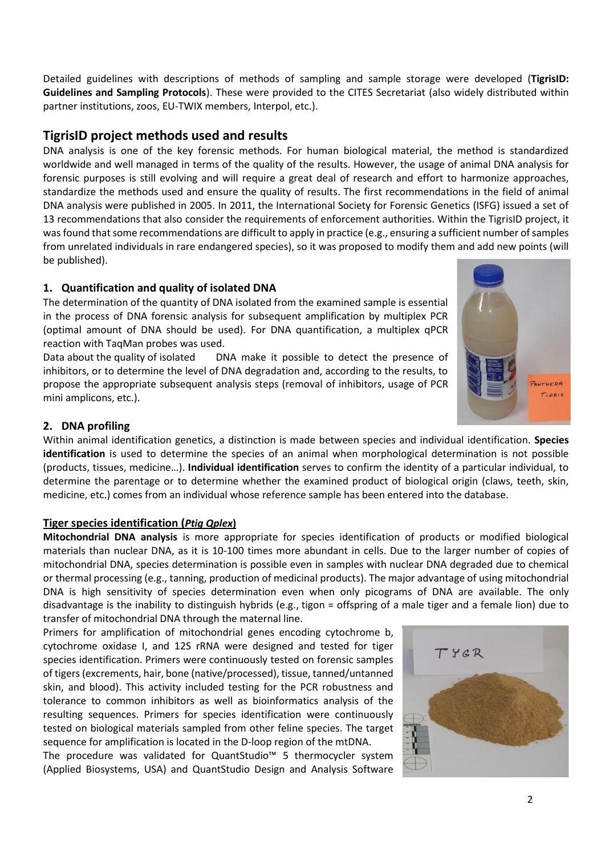Detailed guidelines with descriptions of methods of sampling and sample storage were developed (**TigrisID: Guidelines and Sampling Protocols**). These were provided to the CITES Secretariat (also widely distributed within partner institutions, zoos, EU-TWIX members, Interpol, etc.).

# **TigrisID project methods used and results**

DNA analysis is one of the key forensic methods. For human biological material, the method is standardized worldwide and well managed in terms of the quality of the results. However, the usage of animal DNA analysis for forensic purposes is still evolving and will require a great deal of research and effort to harmonize approaches, standardize the methods used and ensure the quality of results. The first recommendations in the field of animal DNA analysis were published in 2005. In 2011, the International Society for Forensic Genetics (ISFG) issued a set of 13 recommendations that also consider the requirements of enforcement authorities. Within the TigrisID project, it was found that some recommendations are difficult to apply in practice (e.g., ensuring a sufficient number of samples from unrelated individuals in rare endangered species), so it was proposed to modify them and add new points (will be published).

### **1. Quantification and quality of isolated DNA**

The determination of the quantity of DNA isolated from the examined sample is essential in the process of DNA forensic analysis for subsequent amplification by multiplex PCR (optimal amount of DNA should be used). For DNA quantification, a multiplex qPCR reaction with TaqMan probes was used.

Data about the quality of isolated DNA make it possible to detect the presence of inhibitors, or to determine the level of DNA degradation and, according to the results, to propose the appropriate subsequent analysis steps (removal of inhibitors, usage of PCR mini amplicons, etc.).



#### **2. DNA profiling**

Within animal identification genetics, a distinction is made between species and individual identification. **Species identification** is used to determine the species of an animal when morphological determination is not possible (products, tissues, medicine…). **Individual identification** serves to confirm the identity of a particular individual, to determine the parentage or to determine whether the examined product of biological origin (claws, teeth, skin, medicine, etc.) comes from an individual whose reference sample has been entered into the database.

#### **Tiger species identification (***Ptig Qplex***)**

**Mitochondrial DNA analysis** is more appropriate for species identification of products or modified biological materials than nuclear DNA, as it is 10-100 times more abundant in cells. Due to the larger number of copies of mitochondrial DNA, species determination is possible even in samples with nuclear DNA degraded due to chemical or thermal processing (e.g., tanning, production of medicinal products). The major advantage of using mitochondrial DNA is high sensitivity of species determination even when only picograms of DNA are available. The only disadvantage is the inability to distinguish hybrids (e.g., tigon = offspring of a male tiger and a female lion) due to transfer of mitochondrial DNA through the maternal line.

Primers for amplification of mitochondrial genes encoding cytochrome b, cytochrome oxidase I, and 12S rRNA were designed and tested for tiger species identification. Primers were continuously tested on forensic samples of tigers (excrements, hair, bone (native/processed), tissue, tanned/untanned skin, and blood). This activity included testing for the PCR robustness and tolerance to common inhibitors as well as bioinformatics analysis of the resulting sequences. Primers for species identification were continuously tested on biological materials sampled from other feline species. The target sequence for amplification is located in the D-loop region of the mtDNA.

The procedure was validated for QuantStudio™ 5 thermocycler system (Applied Biosystems, USA) and QuantStudio Design and Analysis Software

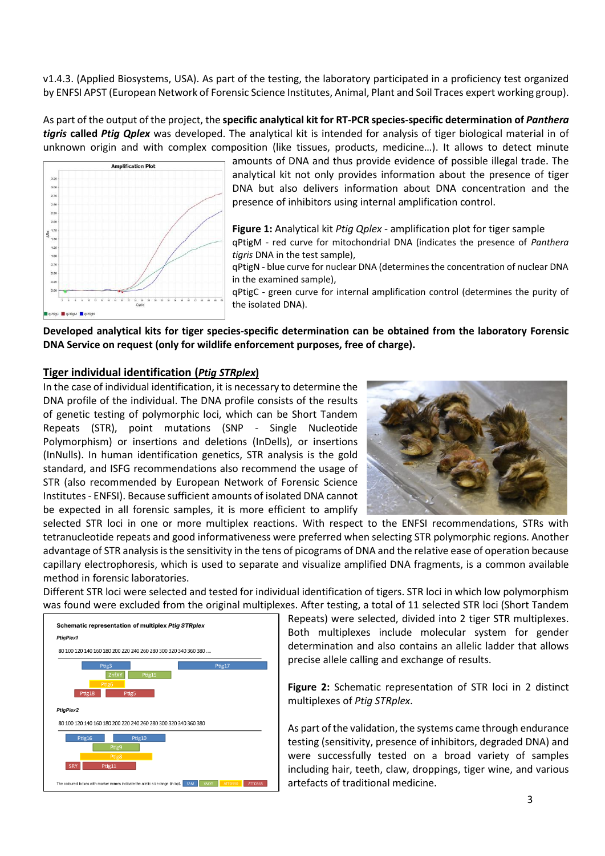v1.4.3. (Applied Biosystems, USA). As part of the testing, the laboratory participated in a proficiency test organized by ENFSI APST (European Network of Forensic Science Institutes, Animal, Plant and Soil Traces expert working group).

As part of the output of the project, the **specific analytical kit for RT-PCR species-specific determination of** *Panthera tigris* **called** *Ptig Qplex* was developed. The analytical kit is intended for analysis of tiger biological material in of unknown origin and with complex composition (like tissues, products, medicine…). It allows to detect minute



amounts of DNA and thus provide evidence of possible illegal trade. The analytical kit not only provides information about the presence of tiger DNA but also delivers information about DNA concentration and the presence of inhibitors using internal amplification control.

**Figure 1:** Analytical kit *Ptig Qplex -* amplification plot for tiger sample qPtigM - red curve for mitochondrial DNA (indicates the presence of *Panthera tigris* DNA in the test sample),

qPtigN - blue curve for nuclear DNA (determines the concentration of nuclear DNA in the examined sample),

qPtigC - green curve for internal amplification control (determines the purity of the isolated DNA).

**Developed analytical kits for tiger species-specific determination can be obtained from the laboratory Forensic DNA Service on request (only for wildlife enforcement purposes, free of charge).**

#### **Tiger individual identification (***Ptig STRplex***)**

In the case of individual identification, it is necessary to determine the DNA profile of the individual. The DNA profile consists of the results of genetic testing of polymorphic loci, which can be Short Tandem Repeats (STR), point mutations (SNP - Single Nucleotide Polymorphism) or insertions and deletions (InDells), or insertions (InNulls). In human identification genetics, STR analysis is the gold standard, and ISFG recommendations also recommend the usage of STR (also recommended by European Network of Forensic Science Institutes - ENFSI). Because sufficient amounts of isolated DNA cannot be expected in all forensic samples, it is more efficient to amplify



selected STR loci in one or more multiplex reactions. With respect to the ENFSI recommendations, STRs with tetranucleotide repeats and good informativeness were preferred when selecting STR polymorphic regions. Another advantage of STR analysis is the sensitivity in the tens of picograms of DNA and the relative ease of operation because capillary electrophoresis, which is used to separate and visualize amplified DNA fragments, is a common available method in forensic laboratories.

Different STR loci were selected and tested for individual identification of tigers. STR loci in which low polymorphism was found were excluded from the original multiplexes. After testing, a total of 11 selected STR loci (Short Tandem



Repeats) were selected, divided into 2 tiger STR multiplexes. Both multiplexes include molecular system for gender determination and also contains an allelic ladder that allows precise allele calling and exchange of results.

**Figure 2:** Schematic representation of STR loci in 2 distinct multiplexes of *Ptig STRplex*.

As part of the validation, the systems came through endurance testing (sensitivity, presence of inhibitors, degraded DNA) and were successfully tested on a broad variety of samples including hair, teeth, claw, droppings, tiger wine, and various artefacts of traditional medicine.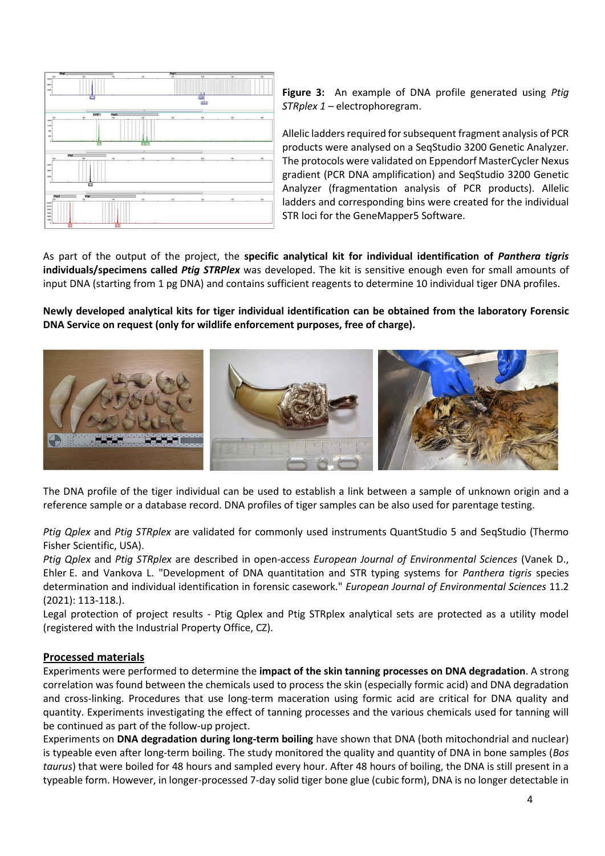

**Figure 3:** An example of DNA profile generated using *Ptig STRplex 1 –* electrophoregram.

Allelic ladders required for subsequent fragment analysis of PCR products were analysed on a SeqStudio 3200 Genetic Analyzer. The protocols were validated on Eppendorf MasterCycler Nexus gradient (PCR DNA amplification) and SeqStudio 3200 Genetic Analyzer (fragmentation analysis of PCR products). Allelic ladders and corresponding bins were created for the individual STR loci for the GeneMapper5 Software.

As part of the output of the project, the **specific analytical kit for individual identification of** *Panthera tigris* **individuals/specimens called** *Ptig STRPlex* was developed. The kit is sensitive enough even for small amounts of input DNA (starting from 1 pg DNA) and contains sufficient reagents to determine 10 individual tiger DNA profiles.

**Newly developed analytical kits for tiger individual identification can be obtained from the laboratory Forensic DNA Service on request (only for wildlife enforcement purposes, free of charge).**



The DNA profile of the tiger individual can be used to establish a link between a sample of unknown origin and a reference sample or a database record. DNA profiles of tiger samples can be also used for parentage testing.

*Ptig Qplex* and *Ptig STRplex* are validated for commonly used instruments QuantStudio 5 and SeqStudio (Thermo Fisher Scientific, USA).

*Ptig Qplex* and *Ptig STRplex* are described in open-access *European Journal of Environmental Sciences* (Vanek D., Ehler E. and Vankova L. "Development of DNA quantitation and STR typing systems for *Panthera tigris* species determination and individual identification in forensic casework." *European Journal of Environmental Sciences* 11.2 (2021): 113-118.).

Legal protection of project results - Ptig Qplex and Ptig STRplex analytical sets are protected as a utility model (registered with the Industrial Property Office, CZ).

#### **Processed materials**

Experiments were performed to determine the **impact of the skin tanning processes on DNA degradation**. A strong correlation was found between the chemicals used to process the skin (especially formic acid) and DNA degradation and cross-linking. Procedures that use long-term maceration using formic acid are critical for DNA quality and quantity. Experiments investigating the effect of tanning processes and the various chemicals used for tanning will be continued as part of the follow-up project.

Experiments on **DNA degradation during long-term boiling** have shown that DNA (both mitochondrial and nuclear) is typeable even after long-term boiling. The study monitored the quality and quantity of DNA in bone samples (*Bos taurus*) that were boiled for 48 hours and sampled every hour. After 48 hours of boiling, the DNA is still present in a typeable form. However, in longer-processed 7-day solid tiger bone glue (cubic form), DNA is no longer detectable in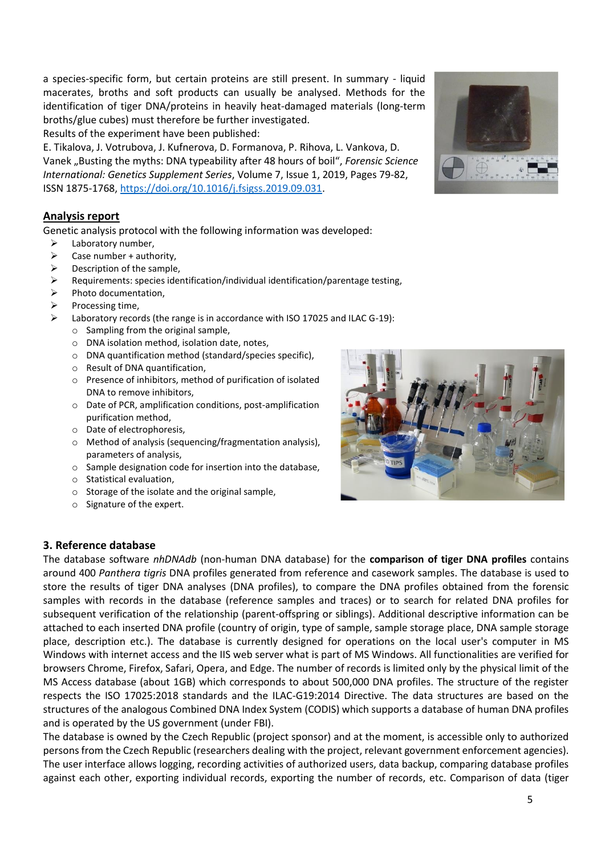5

a species-specific form, but certain proteins are still present. In summary - liquid macerates, broths and soft products can usually be analysed. Methods for the identification of tiger DNA/proteins in heavily heat-damaged materials (long-term broths/glue cubes) must therefore be further investigated.

Results of the experiment have been published:

E. Tikalova, J. Votrubova, J. Kufnerova, D. Formanova, P. Rihova, L. Vankova, D. Vanek "Busting the myths: DNA typeability after 48 hours of boil", *Forensic Science International: Genetics Supplement Series*, Volume 7, Issue 1, 2019, Pages 79-82, ISSN 1875-1768, [https://doi.org/10.1016/j.fsigss.2019.09.031.](https://doi.org/10.1016/j.fsigss.2019.09.031)

#### **Analysis report**

Genetic analysis protocol with the following information was developed:

- Laboratory number,
- $\triangleright$  Case number + authority,
- ➢ Description of the sample,
- ➢ Requirements: species identification/individual identification/parentage testing,
- ➢ Photo documentation,
- ➢ Processing time,
	- Laboratory records (the range is in accordance with ISO 17025 and ILAC G-19):
		- o Sampling from the original sample,
		- o DNA isolation method, isolation date, notes,
		- o DNA quantification method (standard/species specific),
		- o Result of DNA quantification,
		- o Presence of inhibitors, method of purification of isolated DNA to remove inhibitors,
		- o Date of PCR, amplification conditions, post-amplification purification method,
		- o Date of electrophoresis,
		- o Method of analysis (sequencing/fragmentation analysis), parameters of analysis,
		- o Sample designation code for insertion into the database,
		- o Statistical evaluation,
		- o Storage of the isolate and the original sample,
		- o Signature of the expert.

#### **3. Reference database**

The database software *nhDNAdb* (non-human DNA database) for the **comparison of tiger DNA profiles** contains around 400 *Panthera tigris* DNA profiles generated from reference and casework samples. The database is used to store the results of tiger DNA analyses (DNA profiles), to compare the DNA profiles obtained from the forensic samples with records in the database (reference samples and traces) or to search for related DNA profiles for subsequent verification of the relationship (parent-offspring or siblings). Additional descriptive information can be attached to each inserted DNA profile (country of origin, type of sample, sample storage place, DNA sample storage place, description etc.). The database is currently designed for operations on the local user's computer in MS Windows with internet access and the IIS web server what is part of MS Windows. All functionalities are verified for browsers Chrome, Firefox, Safari, Opera, and Edge. The number of records is limited only by the physical limit of the MS Access database (about 1GB) which corresponds to about 500,000 DNA profiles. The structure of the register respects the ISO 17025:2018 standards and the ILAC-G19:2014 Directive. The data structures are based on the structures of the analogous Combined DNA Index System (CODIS) which supports a database of human DNA profiles and is operated by the US government (under FBI).

The database is owned by the Czech Republic (project sponsor) and at the moment, is accessible only to authorized persons from the Czech Republic (researchers dealing with the project, relevant government enforcement agencies). The user interface allows logging, recording activities of authorized users, data backup, comparing database profiles against each other, exporting individual records, exporting the number of records, etc. Comparison of data (tiger



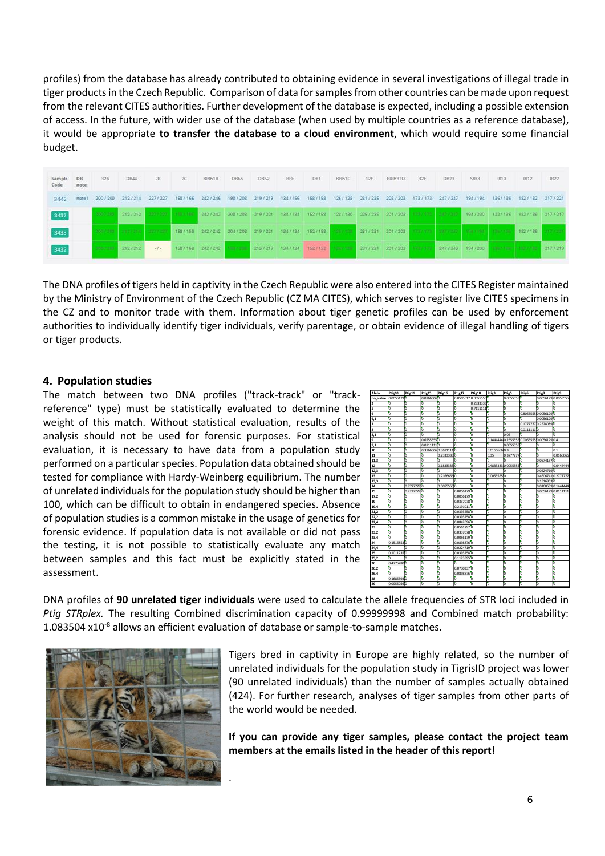profiles) from the database has already contributed to obtaining evidence in several investigations of illegal trade in tiger products in the Czech Republic. Comparison of data for samples from other countries can be made upon request from the relevant CITES authorities. Further development of the database is expected, including a possible extension of access. In the future, with wider use of the database (when used by multiple countries as a reference database), it would be appropriate **to transfer the database to a cloud environment**, which would require some financial budget.

| Sample DB<br>Code | note  | 32A           | DB44                       | 78        | TC      | BIRH1B                                                                                    | DB66    | DB52    | BR6                             | DB1       | <b>BIRHIC</b> | 12F     | 8 Rh37D                                                                                                                       | 32F               | <b>DB23</b>       | SR63                  | JR10        | IR12              | IR22 |
|-------------------|-------|---------------|----------------------------|-----------|---------|-------------------------------------------------------------------------------------------|---------|---------|---------------------------------|-----------|---------------|---------|-------------------------------------------------------------------------------------------------------------------------------|-------------------|-------------------|-----------------------|-------------|-------------------|------|
| 3442              | note? |               | 200/200 212/214            | 227 / 227 | 158/166 | 242/246                                                                                   | 198/208 | 219/219 | 134/156                         | 158 / 158 | 126/128       | 231/235 | 203/203                                                                                                                       | 173/173           | 247/247           | 194 / 194             | 136/136     | 182/182 217/221   |      |
| 3437              |       |               | 2007 200 2427 212 2277 227 |           |         |                                                                                           |         |         |                                 |           |               |         | 188 188 242 242 242 268 208 219 221 134 154 152 158 128 130 229 235 201 / 203 128 129 230 120 242 130 132 136 182 188 217 217 |                   |                   |                       |             |                   |      |
| 3433              |       | $2000 - 1001$ | <b>CARL AND STATE</b>      |           |         | 158 / 158 242 / 242 204 / 208 219 / 221 134 / 134 152 / 158 199 / 199 231 / 231 201 / 203 |         |         |                                 |           |               |         |                                                                                                                               | <b>STATISTICS</b> | <b>The County</b> | <b>STEEL FROM THE</b> | 120617-008  | 182/188           |      |
| 3432              |       |               | <b>SOCIETY 212/212</b>     | $-1-$     |         | 158/168 242/242                                                                           |         |         | 152/152 215/219 134/134 152/152 |           |               |         | 231 / 231 201 / 203                                                                                                           | <b>STORY STOR</b> |                   | 247 / 249 194 / 200   | Albert Town | <b>CONTRACTOR</b> |      |

The DNA profiles of tigers held in captivity in the Czech Republic were also entered into the CITES Register maintained by the Ministry of Environment of the Czech Republic (CZ MA CITES), which serves to register live CITES specimens in the CZ and to monitor trade with them. Information about tiger genetic profiles can be used by enforcement authorities to individually identify tiger individuals, verify parentage, or obtain evidence of illegal handling of tigers or tiger products.

#### **4. Population studies**

The match between two DNA profiles ("track-track" or "trackreference" type) must be statistically evaluated to determine the weight of this match. Without statistical evaluation, results of the analysis should not be used for forensic purposes. For statistical evaluation, it is necessary to have data from a population study performed on a particular species. Population data obtained should be tested for compliance with Hardy-Weinberg equilibrium. The number of unrelated individuals for the population study should be higher than 100, which can be difficult to obtain in endangered species. Absence of population studies is a common mistake in the usage of genetics for forensic evidence. If population data is not available or did not pass the testing, it is not possible to statistically evaluate any match between samples and this fact must be explicitly stated in the assessment.

.



DNA profiles of **90 unrelated tiger individuals** were used to calculate the allele frequencies of STR loci included in *Ptig STRplex.* The resulting Combined discrimination capacity of 0.99999998 and Combined match probability: 1.083504  $x10^{-8}$  allows an efficient evaluation of database or sample-to-sample matches.



Tigers bred in captivity in Europe are highly related, so the number of unrelated individuals for the population study in TigrisID project was lower (90 unrelated individuals) than the number of samples actually obtained (424). For further research, analyses of tiger samples from other parts of the world would be needed.

**If you can provide any tiger samples, please contact the project team members at the emails listed in the header of this report!**